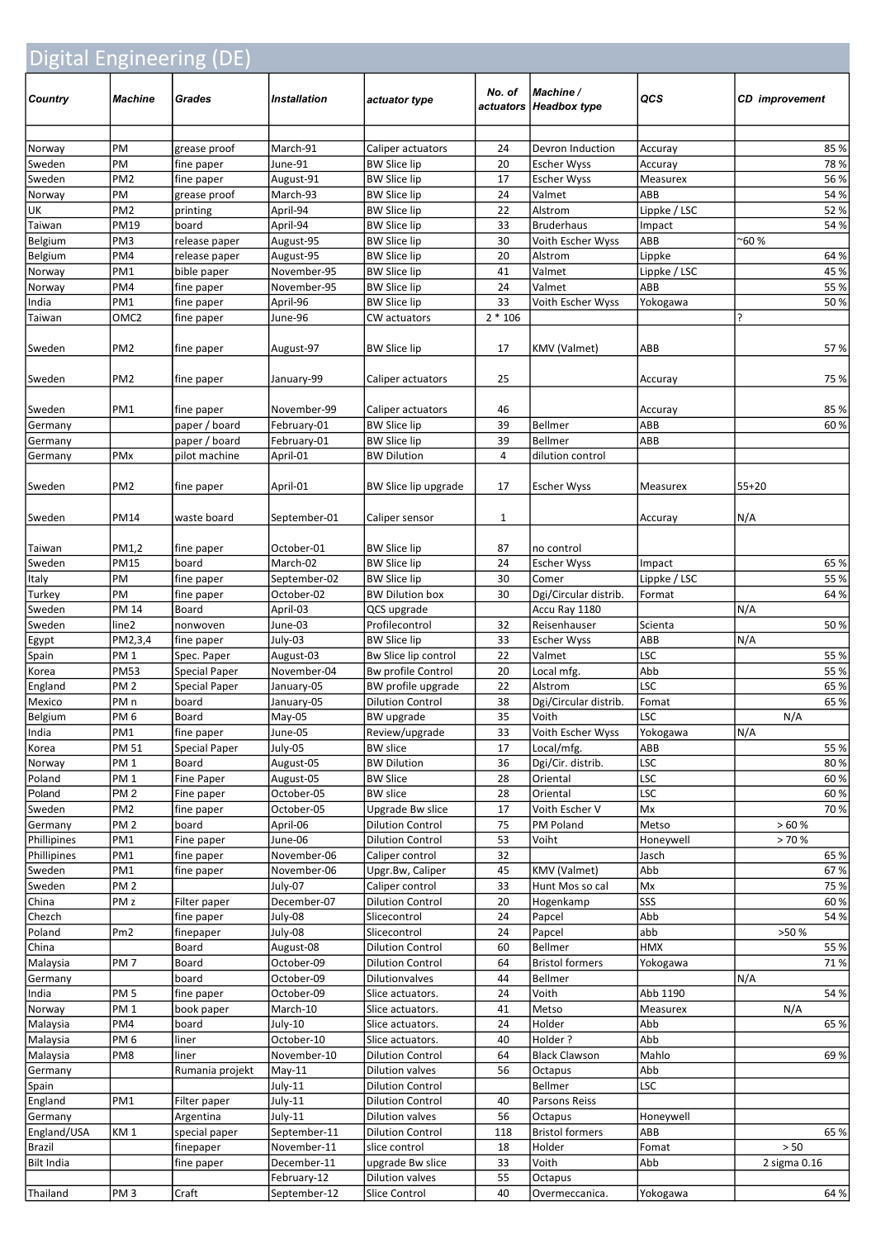| Digital Engineering (DE) |                                |                                              |                            |                                             |           |                                       |                   |                       |  |
|--------------------------|--------------------------------|----------------------------------------------|----------------------------|---------------------------------------------|-----------|---------------------------------------|-------------------|-----------------------|--|
| Country                  | Machine                        | Grades                                       | <b>Installation</b>        | actuator type                               | No. of    | Machine /<br>actuators   Headbox type | QCS               | <b>CD</b> improvement |  |
| Norway                   | PM                             | grease proof                                 | March-91                   | Caliper actuators                           | 24        | Devron Induction                      | Accuray           | 85%                   |  |
| Sweden                   | PM                             | fine paper                                   | June-91                    | <b>BW Slice lip</b>                         | 20        | <b>Escher Wyss</b>                    | Accuray           | 78%                   |  |
| Sweden                   | PM <sub>2</sub>                | fine paper                                   | August-91                  | <b>BW Slice lip</b>                         | 17        | <b>Escher Wyss</b>                    | Measurex          | 56 %                  |  |
| Norway                   | PM                             | grease proof                                 | March-93                   | <b>BW Slice lip</b>                         | 24        | Valmet                                | ABB               | 54 %                  |  |
| UK                       | PM <sub>2</sub>                | printing                                     | April-94                   | <b>BW Slice lip</b>                         | 22        | Alstrom                               | Lippke / LSC      | 52%                   |  |
| Taiwan                   | <b>PM19</b>                    | board                                        | April-94                   | <b>BW Slice lip</b>                         | 33        | <b>Bruderhaus</b>                     | Impact            | 54 %                  |  |
| <b>Belgium</b>           | PM <sub>3</sub>                | release paper                                | August-95                  | <b>BW Slice lip</b>                         | 30        | Voith Escher Wyss                     | ABB               | ~60 %                 |  |
| <b>Belgium</b>           | PM4                            | release paper                                | August-95                  | <b>BW Slice lip</b>                         | 20        | Alstrom                               | Lippke            | 64 %                  |  |
| Norway                   | PM1                            | bible paper                                  | November-95                | <b>BW Slice lip</b>                         | 41        | Valmet                                | Lippke / LSC      | 45 %                  |  |
| Norway<br>India          | PM4<br>PM1                     | fine paper<br>fine paper                     | November-95<br>April-96    | <b>BW Slice lip</b><br><b>BW Slice lip</b>  | 24<br>33  | Valmet<br>Voith Escher Wyss           | ABB               | 55 %<br>50%           |  |
| Taiwan                   | OMC <sub>2</sub>               | fine paper                                   | June-96                    | CW actuators                                | $2 * 106$ |                                       | Yokogawa          |                       |  |
|                          |                                |                                              |                            |                                             |           |                                       |                   |                       |  |
| Sweden                   | PM <sub>2</sub>                | fine paper                                   | August-97                  | <b>BW Slice lip</b>                         | 17        | <b>KMV</b> (Valmet)                   | ABB               | 57%                   |  |
| Sweden                   | PM <sub>2</sub>                | fine paper                                   | January-99                 | Caliper actuators                           | 25        |                                       | Accuray           | 75 %                  |  |
| Sweden                   | PM1                            | fine paper                                   | November-99                | Caliper actuators                           | 46        |                                       | Accuray           | 85%                   |  |
| Germany                  |                                | paper / board                                | February-01                | <b>BW Slice lip</b>                         | 39        | <b>Bellmer</b>                        | ABB               | 60%                   |  |
| Germany                  |                                | paper / board                                | February-01                | <b>BW Slice lip</b>                         | 39        | <b>Bellmer</b>                        | ABB               |                       |  |
| Germany                  | PMx                            | pilot machine                                | April-01                   | <b>BW Dilution</b>                          | 4         | dilution control                      |                   |                       |  |
| Sweden                   | PM <sub>2</sub>                | fine paper                                   | April-01                   | BW Slice lip upgrade                        | 17        | <b>Escher Wyss</b>                    | Measurex          | $55+20$               |  |
| Sweden                   | PM14                           | waste board                                  | September-01               | Caliper sensor                              | 1         |                                       | Accuray           | N/A                   |  |
| Taiwan                   | PM1,2                          | fine paper                                   | October-01                 | <b>BW Slice lip</b>                         | 87        | no control                            |                   |                       |  |
| Sweden                   | PM15                           | board                                        | March-02                   | <b>BW Slice lip</b>                         | 24        | <b>Escher Wyss</b>                    | Impact            | 65 %                  |  |
| Italy                    | PM                             | fine paper                                   | September-02               | <b>BW Slice lip</b>                         | 30        | Comer                                 | Lippke / LSC      | 55 %                  |  |
| Turkey                   | PM                             | fine paper                                   | October-02                 | <b>BW Dilution box</b>                      | 30        | Dgi/Circular distrib.                 | Format            | 64 %                  |  |
| Sweden                   | <b>PM 14</b>                   | Board                                        | April-03                   | QCS upgrade                                 |           | Accu Ray 1180                         |                   | N/A                   |  |
| Sweden                   | line2                          | nonwoven                                     | June-03                    | Profilecontrol                              | 32        | Reisenhauser                          | Scienta           | 50%                   |  |
| Egypt                    | PM2,3,4                        | fine paper                                   | July-03                    | <b>BW Slice lip</b>                         | 33        | <b>Escher Wyss</b>                    | ABB               | N/A                   |  |
| Spain                    | PM <sub>1</sub>                | Spec. Paper                                  | August-03                  | Bw Slice lip control                        | 22        | Valmet                                | <b>LSC</b>        | 55 %<br>55 %          |  |
| Korea<br>England         | <b>PM53</b><br>PM <sub>2</sub> | <b>Special Paper</b><br><b>Special Paper</b> | November-04<br>January-05  | Bw profile Control<br>BW profile upgrade    | 20<br>22  | Local mfg.<br>Alstrom                 | Abb<br><b>LSC</b> | 65 %                  |  |
| Mexico                   | PM <sub>n</sub>                | board                                        | January-05                 | <b>Dilution Control</b>                     | 38        | Dgi/Circular distrib.                 | Fomat             | 65 %                  |  |
| Belgium                  | PM 6                           | Board                                        | $May-05$                   | BW upgrade                                  | 35        | Voith                                 | <b>LSC</b>        | N/A                   |  |
| India                    | PM1                            | fine paper                                   | June-05                    | Review/upgrade                              | 33        | Voith Escher Wyss                     | Yokogawa          | N/A                   |  |
| Korea                    | PM 51                          | Special Paper                                | July-05                    | <b>BW</b> slice                             | 17        | Local/mfg.                            | ABB               | 55 %                  |  |
| Norway                   | PM <sub>1</sub>                | Board                                        | August-05                  | <b>BW Dilution</b>                          | 36        | Dgi/Cir. distrib.                     | LSC               | 80%                   |  |
| Poland                   | PM <sub>1</sub>                | Fine Paper                                   | August-05                  | <b>BW Slice</b>                             | 28        | Oriental                              | LSC               | 60%                   |  |
| Poland                   | PM <sub>2</sub>                | Fine paper                                   | October-05                 | <b>BW</b> slice                             | 28        | Oriental                              | <b>LSC</b>        | 60%                   |  |
| Sweden                   | PM <sub>2</sub>                | fine paper                                   | October-05                 | Upgrade Bw slice                            | 17        | Voith Escher V                        | Mx                | 70 %                  |  |
| Germany                  | PM <sub>2</sub>                | board                                        | April-06                   | <b>Dilution Control</b>                     | 75        | PM Poland                             | Metso             | >60%                  |  |
| Phillipines              | PM1                            | Fine paper                                   | June-06                    | <b>Dilution Control</b>                     | 53        | Voiht                                 | Honeywell         | >70%                  |  |
| Phillipines<br>Sweden    | PM1<br>PM1                     | fine paper<br>fine paper                     | November-06<br>November-06 | Caliper control<br>Upgr.Bw, Caliper         | 32<br>45  | KMV (Valmet)                          | Jasch<br>Abb      | 65 %<br>67 %          |  |
| Sweden                   | PM <sub>2</sub>                |                                              | July-07                    | Caliper control                             | 33        | Hunt Mos so cal                       | Mx                | 75 %                  |  |
| China                    | PM <sub>z</sub>                | Filter paper                                 | December-07                | <b>Dilution Control</b>                     | 20        | Hogenkamp                             | SSS               | 60%                   |  |
| Chezch                   |                                | fine paper                                   | July-08                    | Slicecontrol                                | 24        | Papcel                                | Abb               | 54 %                  |  |
| Poland                   | Pm <sub>2</sub>                | finepaper                                    | July-08                    | Slicecontrol                                | 24        | Papcel                                | abb               | >50 %                 |  |
| China                    |                                | Board                                        | August-08                  | <b>Dilution Control</b>                     | 60        | Bellmer                               | HMX               | 55 %                  |  |
| Malaysia                 | PM <sub>7</sub>                | Board                                        | October-09                 | <b>Dilution Control</b>                     | 64        | <b>Bristol formers</b>                | Yokogawa          | 71%                   |  |
| Germany                  |                                | board                                        | October-09                 | Dilutionvalves                              | 44        | Bellmer                               |                   | N/A                   |  |
| India                    | PM <sub>5</sub>                | fine paper                                   | October-09                 | Slice actuators.                            | 24        | Voith                                 | Abb 1190          | 54 %                  |  |
| Norway                   | PM <sub>1</sub>                | book paper                                   | March-10                   | Slice actuators.                            | 41        | Metso                                 | Measurex          | N/A                   |  |
| Malaysia                 | PM4                            | board                                        | July-10                    | Slice actuators.                            | 24        | Holder                                | Abb               | 65 %                  |  |
| Malaysia<br>Malaysia     | PM 6<br>PM8                    | liner<br>liner                               | October-10<br>November-10  | Slice actuators.<br><b>Dilution Control</b> | 40<br>64  | Holder?<br><b>Black Clawson</b>       | Abb<br>Mahlo      | 69%                   |  |
| Germany                  |                                | Rumania projekt                              | $May-11$                   | Dilution valves                             | 56        | Octapus                               | Abb               |                       |  |
| Spain                    |                                |                                              | July-11                    | <b>Dilution Control</b>                     |           | Bellmer                               | <b>LSC</b>        |                       |  |
| England                  | PM1                            | Filter paper                                 | July-11                    | <b>Dilution Control</b>                     | 40        | Parsons Reiss                         |                   |                       |  |
| Germany                  |                                | Argentina                                    | July-11                    | Dilution valves                             | 56        | Octapus                               | Honeywell         |                       |  |
| England/USA              | KM <sub>1</sub>                | special paper                                | September-11               | <b>Dilution Control</b>                     | 118       | <b>Bristol formers</b>                | ABB               | 65 %                  |  |
| Brazil                   |                                | finepaper                                    | November-11                | slice control                               | 18        | Holder                                | Fomat             | > 50                  |  |
| Bilt India               |                                | fine paper                                   | December-11                | upgrade Bw slice                            | 33        | Voith                                 | Abb               | 2 sigma 0.16          |  |
|                          |                                |                                              | February-12                | Dilution valves                             | 55        | Octapus                               |                   |                       |  |
| Thailand                 | PM <sub>3</sub>                | Craft                                        | September-12               | Slice Control                               | 40        | Overmeccanica.                        | Yokogawa          | 64 %                  |  |